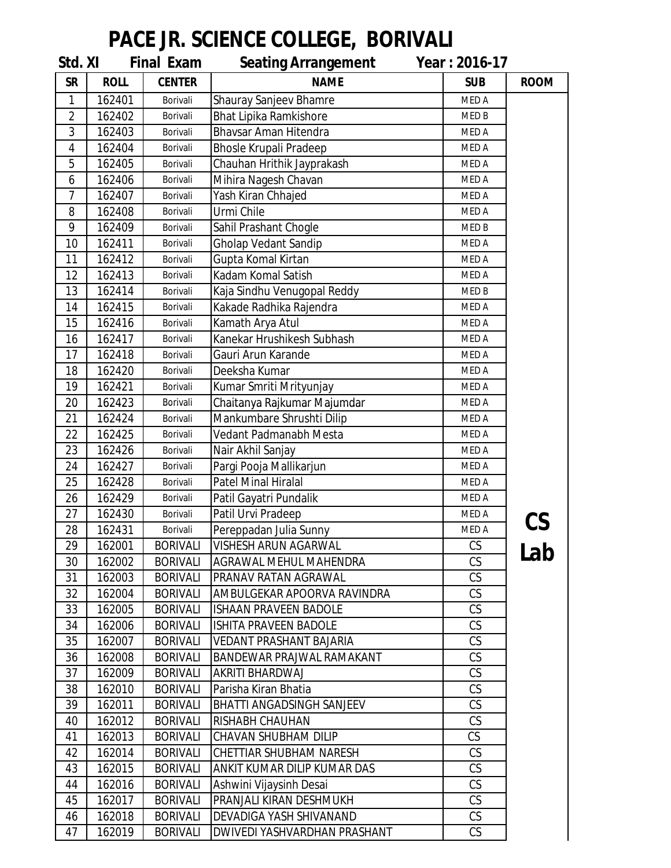## **PACE JR. SCIENCE COLLEGE, BORIVALI**

| Std. XI        |             | <b>Final Exam</b> | <b>Seating Arrangement</b>    | Year: 2016-17 |             |
|----------------|-------------|-------------------|-------------------------------|---------------|-------------|
| <b>SR</b>      | <b>ROLL</b> | <b>CENTER</b>     | <b>NAME</b>                   | <b>SUB</b>    | <b>ROOM</b> |
| 1              | 162401      | Borivali          | Shauray Sanjeev Bhamre        | MED A         |             |
| $\overline{2}$ | 162402      | Borivali          | <b>Bhat Lipika Ramkishore</b> | MED B         |             |
| 3              | 162403      | Borivali          | <b>Bhavsar Aman Hitendra</b>  | MED A         |             |
| 4              | 162404      | Borivali          | <b>Bhosle Krupali Pradeep</b> | MED A         |             |
| 5              | 162405      | Borivali          | Chauhan Hrithik Jayprakash    | MED A         |             |
| 6              | 162406      | Borivali          | Mihira Nagesh Chavan          | MED A         |             |
| 7              | 162407      | Borivali          | Yash Kiran Chhajed            | MED A         |             |
| 8              | 162408      | Borivali          | Urmi Chile                    | MED A         |             |
| 9              | 162409      | Borivali          | Sahil Prashant Chogle         | MED B         |             |
| 10             | 162411      | Borivali          | <b>Gholap Vedant Sandip</b>   | MED A         |             |
| 11             | 162412      | Borivali          | Gupta Komal Kirtan            | MED A         |             |
| 12             | 162413      | Borivali          | Kadam Komal Satish            | MED A         |             |
| 13             | 162414      | Borivali          | Kaja Sindhu Venugopal Reddy   | MED B         |             |
| 14             | 162415      | Borivali          | Kakade Radhika Rajendra       | MED A         |             |
| 15             | 162416      | Borivali          | Kamath Arya Atul              | MED A         |             |
| 16             | 162417      | Borivali          | Kanekar Hrushikesh Subhash    | MED A         |             |
| 17             | 162418      | Borivali          | Gauri Arun Karande            | MED A         |             |
| 18             | 162420      | Borivali          | Deeksha Kumar                 | MED A         |             |
| 19             | 162421      | Borivali          | Kumar Smriti Mrityunjay       | MED A         |             |
| 20             | 162423      | Borivali          | Chaitanya Rajkumar Majumdar   | MED A         |             |
| 21             | 162424      | Borivali          | Mankumbare Shrushti Dilip     | MED A         |             |
| 22             | 162425      | Borivali          | Vedant Padmanabh Mesta        | MED A         |             |
| 23             | 162426      | Borivali          | Nair Akhil Sanjay             | MED A         |             |
| 24             | 162427      | Borivali          | Pargi Pooja Mallikarjun       | MED A         |             |
| 25             | 162428      | Borivali          | <b>Patel Minal Hiralal</b>    | <b>MED A</b>  |             |
| 26             | 162429      | Borivali          | Patil Gayatri Pundalik        | MED A         |             |
| 27             | 162430      | Borivali          | Patil Urvi Pradeep            | MED A         |             |
| 28             | 162431      | Borivali          | Pereppadan Julia Sunny        | MED A         |             |
| 29             | 162001      | <b>BORIVALI</b>   | VISHESH ARUN AGARWAL          | CS            | Lab         |
| 30             | 162002      | <b>BORIVALI</b>   | AGRAWAL MEHUL MAHENDRA        | CS            |             |
| 31             | 162003      | <b>BORIVALI</b>   | PRANAV RATAN AGRAWAL          | CS            |             |
| 32             | 162004      | <b>BORIVALI</b>   | AMBULGEKAR APOORVA RAVINDRA   | CS            |             |
| 33             | 162005      | <b>BORIVALI</b>   | <b>ISHAAN PRAVEEN BADOLE</b>  | CS            |             |
| 34             | 162006      | <b>BORIVALI</b>   | ISHITA PRAVEEN BADOLE         | CS            |             |
| 35             | 162007      | <b>BORIVALI</b>   | VEDANT PRASHANT BAJARIA       | CS            |             |
| 36             | 162008      | <b>BORIVALI</b>   | BANDEWAR PRAJWAL RAMAKANT     | CS            |             |
| 37             | 162009      | <b>BORIVALI</b>   | AKRITI BHARDWAJ               | CS            |             |
| 38             | 162010      | <b>BORIVALI</b>   | Parisha Kiran Bhatia          | CS            |             |
| 39             | 162011      | <b>BORIVALI</b>   | BHATTI ANGADSINGH SANJEEV     | CS            |             |
| 40             | 162012      | <b>BORIVALI</b>   | RISHABH CHAUHAN               | CS            |             |
| 41             | 162013      | <b>BORIVALI</b>   | CHAVAN SHUBHAM DILIP          | CS            |             |
| 42             | 162014      | <b>BORIVALI</b>   | CHETTIAR SHUBHAM NARESH       | CS            |             |
| 43             | 162015      | <b>BORIVALI</b>   | ANKIT KUMAR DILIP KUMAR DAS   | CS            |             |
| 44             | 162016      | <b>BORIVALI</b>   | Ashwini Vijaysinh Desai       | CS            |             |
| 45             | 162017      | <b>BORIVALI</b>   | PRANJALI KIRAN DESHMUKH       | CS            |             |
| 46             | 162018      | <b>BORIVALI</b>   | DEVADIGA YASH SHIVANAND       | CS            |             |
| 47             | 162019      | <b>BORIVALI</b>   | DWIVEDI YASHVARDHAN PRASHANT  | CS            |             |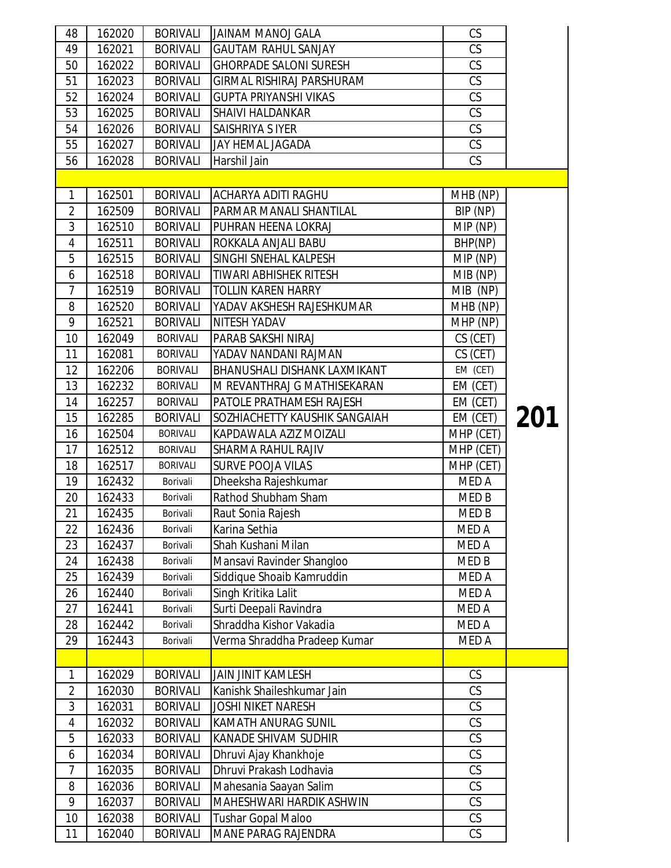| 48             | 162020 | <b>BORIVALI</b> | JAINAM MANOJ GALA                | CS                     |     |
|----------------|--------|-----------------|----------------------------------|------------------------|-----|
| 49             | 162021 | <b>BORIVALI</b> | <b>GAUTAM RAHUL SANJAY</b>       | CS                     |     |
| 50             | 162022 | <b>BORIVALI</b> | <b>GHORPADE SALONI SURESH</b>    | CS                     |     |
| 51             | 162023 | <b>BORIVALI</b> | <b>GIRMAL RISHIRAJ PARSHURAM</b> | CS                     |     |
| 52             | 162024 | <b>BORIVALI</b> | <b>GUPTA PRIYANSHI VIKAS</b>     | CS                     |     |
| 53             | 162025 | <b>BORIVALI</b> | <b>SHAIVI HALDANKAR</b>          | CS                     |     |
| 54             | 162026 | <b>BORIVALI</b> | SAISHRIYA S IYER                 | $\overline{\text{CS}}$ |     |
| 55             | 162027 | <b>BORIVALI</b> | JAY HEMAL JAGADA                 | CS                     |     |
| 56             | 162028 | <b>BORIVALI</b> | Harshil Jain                     | CS                     |     |
|                |        |                 |                                  |                        |     |
| 1              | 162501 | <b>BORIVALI</b> | <b>ACHARYA ADITI RAGHU</b>       | MHB (NP)               |     |
| $\overline{2}$ | 162509 | <b>BORIVALI</b> | PARMAR MANALI SHANTILAL          | BIP (NP)               |     |
| 3              | 162510 | <b>BORIVALI</b> | PUHRAN HEENA LOKRAJ              | MIP (NP)               |     |
| 4              | 162511 | <b>BORIVALI</b> | ROKKALA ANJALI BABU              | BHP(NP)                |     |
| 5              | 162515 | <b>BORIVALI</b> | SINGHI SNEHAL KALPESH            | MIP (NP)               |     |
| 6              | 162518 | <b>BORIVALI</b> | <b>TIWARI ABHISHEK RITESH</b>    | MIB (NP)               |     |
| $\overline{7}$ | 162519 | <b>BORIVALI</b> | <b>TOLLIN KAREN HARRY</b>        | MIB (NP)               |     |
| 8              | 162520 | <b>BORIVALI</b> | YADAV AKSHESH RAJESHKUMAR        | MHB (NP)               |     |
| 9              | 162521 | <b>BORIVALI</b> | <b>NITESH YADAV</b>              | MHP (NP)               |     |
| 10             | 162049 | <b>BORIVALI</b> | PARAB SAKSHI NIRAJ               | CS (CET)               |     |
| 11             | 162081 | <b>BORIVALI</b> | YADAV NANDANI RAJMAN             | CS (CET)               |     |
| 12             | 162206 | <b>BORIVALI</b> | BHANUSHALI DISHANK LAXMIKANT     | EM (CET)               |     |
| 13             | 162232 | <b>BORIVALI</b> | M REVANTHRAJ G MATHISEKARAN      | EM (CET)               |     |
| 14             | 162257 | <b>BORIVALI</b> | PATOLE PRATHAMESH RAJESH         | EM (CET)               |     |
| 15             | 162285 | <b>BORIVALI</b> | SOZHIACHETTY KAUSHIK SANGAIAH    | EM (CET)               | 201 |
| 16             | 162504 | <b>BORIVALI</b> | KAPDAWALA AZIZ MOIZALI           | MHP (CET)              |     |
| 17             | 162512 | <b>BORIVALI</b> | <b>SHARMA RAHUL RAJIV</b>        | MHP (CET)              |     |
| 18             | 162517 | <b>BORIVALI</b> | <b>SURVE POOJA VILAS</b>         | MHP (CET)              |     |
| 19             | 162432 | Borivali        | Dheeksha Rajeshkumar             | MED A                  |     |
| 20             | 162433 | Borivali        | Rathod Shubham Sham              | MED B                  |     |
| 21             | 162435 | Borivali        | Raut Sonia Rajesh                | MED B                  |     |
| 22             | 162436 | Borivali        | Karina Sethia                    | MED A                  |     |
| 23             | 162437 | Borivali        | Shah Kushani Milan               | MED A                  |     |
| 24             | 162438 | Borivali        | Mansavi Ravinder Shangloo        | MED <sub>B</sub>       |     |
| 25             | 162439 | Borivali        | Siddique Shoaib Kamruddin        | MED A                  |     |
| 26             | 162440 | Borivali        | Singh Kritika Lalit              | MED A                  |     |
| 27             | 162441 | Borivali        | Surti Deepali Ravindra           | MED A                  |     |
| 28             | 162442 | Borivali        | Shraddha Kishor Vakadia          | MED A                  |     |
| 29             | 162443 | Borivali        | Verma Shraddha Pradeep Kumar     | MED A                  |     |
|                |        |                 |                                  |                        |     |
| 1              | 162029 | <b>BORIVALI</b> | <b>JAIN JINIT KAMLESH</b>        | CS                     |     |
| $\overline{2}$ | 162030 | <b>BORIVALI</b> | Kanishk Shaileshkumar Jain       | CS                     |     |
| 3              | 162031 | <b>BORIVALI</b> | <b>JOSHI NIKET NARESH</b>        | CS                     |     |
| 4              | 162032 | <b>BORIVALI</b> | <b>KAMATH ANURAG SUNIL</b>       | CS                     |     |
| 5              | 162033 | <b>BORIVALI</b> | <b>KANADE SHIVAM SUDHIR</b>      | CS                     |     |
| 6              | 162034 | <b>BORIVALI</b> | Dhruvi Ajay Khankhoje            | CS                     |     |
| $\overline{7}$ | 162035 | <b>BORIVALI</b> | Dhruvi Prakash Lodhavia          | $\overline{\text{CS}}$ |     |
| 8              | 162036 | <b>BORIVALI</b> | Mahesania Saayan Salim           | CS                     |     |
| 9              | 162037 | <b>BORIVALI</b> | MAHESHWARI HARDIK ASHWIN         | CS                     |     |
| 10             | 162038 | <b>BORIVALI</b> | <b>Tushar Gopal Maloo</b>        | CS                     |     |
|                |        | <b>BORIVALI</b> | <b>MANE PARAG RAJENDRA</b>       | CS                     |     |
| 11             | 162040 |                 |                                  |                        |     |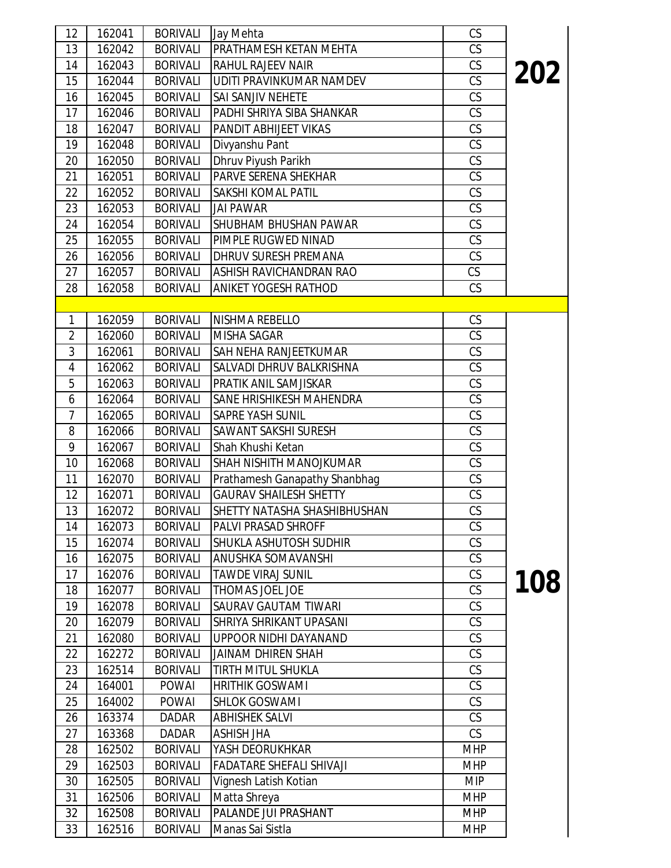| 12 <sup>2</sup> | 162041           | <b>BORIVALI</b>                    | Jay Mehta                                | CS                       |     |
|-----------------|------------------|------------------------------------|------------------------------------------|--------------------------|-----|
| 13              | 162042           | <b>BORIVALI</b>                    | PRATHAMESH KETAN MEHTA                   | CS                       |     |
| 14              | 162043           | <b>BORIVALI</b>                    | RAHUL RAJEEV NAIR                        | CS                       | 202 |
| 15              | 162044           | <b>BORIVALI</b>                    | UDITI PRAVINKUMAR NAMDEV                 | CS                       |     |
| 16              | 162045           | <b>BORIVALI</b>                    | SAI SANJIV NEHETE                        | CS                       |     |
| 17              | 162046           | <b>BORIVALI</b>                    | PADHI SHRIYA SIBA SHANKAR                | CS                       |     |
| 18              | 162047           | <b>BORIVALI</b>                    | PANDIT ABHIJEET VIKAS                    | $\overline{\text{CS}}$   |     |
| 19              | 162048           | <b>BORIVALI</b>                    | Divyanshu Pant                           | CS                       |     |
| 20              | 162050           | <b>BORIVALI</b>                    | Dhruv Piyush Parikh                      | CS                       |     |
| 21              | 162051           | <b>BORIVALI</b>                    | PARVE SERENA SHEKHAR                     | CS                       |     |
| 22              | 162052           | <b>BORIVALI</b>                    | SAKSHI KOMAL PATIL                       | CS                       |     |
| 23              | 162053           | <b>BORIVALI</b>                    | <b>JAI PAWAR</b>                         | CS                       |     |
| 24              | 162054           | <b>BORIVALI</b>                    | SHUBHAM BHUSHAN PAWAR                    | CS                       |     |
| 25              | 162055           | <b>BORIVALI</b>                    | PIMPLE RUGWED NINAD                      | CS                       |     |
| 26              | 162056           | <b>BORIVALI</b>                    | DHRUV SURESH PREMANA                     | CS                       |     |
| 27              | 162057           | <b>BORIVALI</b>                    | <b>ASHISH RAVICHANDRAN RAO</b>           | CS                       |     |
| 28              | 162058           | <b>BORIVALI</b>                    | <b>ANIKET YOGESH RATHOD</b>              | CS                       |     |
|                 |                  |                                    |                                          |                          |     |
| $\mathbf{1}$    | 162059           | <b>BORIVALI</b>                    | NISHMA REBELLO                           | CS                       |     |
| $\overline{2}$  | 162060           | <b>BORIVALI</b>                    | <b>MISHA SAGAR</b>                       | CS                       |     |
| 3               | 162061           | <b>BORIVALI</b>                    | <b>SAH NEHA RANJEETKUMAR</b>             | CS                       |     |
| 4               | 162062           | <b>BORIVALI</b>                    | SALVADI DHRUV BALKRISHNA                 | CS                       |     |
| 5               | 162063           | <b>BORIVALI</b>                    | PRATIK ANIL SAMJISKAR                    | CS                       |     |
| 6               | 162064           | <b>BORIVALI</b>                    | SANE HRISHIKESH MAHENDRA                 | CS                       |     |
| 7               | 162065           | <b>BORIVALI</b>                    | SAPRE YASH SUNIL                         | CS                       |     |
| 8               | 162066           | <b>BORIVALI</b>                    | SAWANT SAKSHI SURESH                     | CS                       |     |
| 9               | 162067           | <b>BORIVALI</b>                    | Shah Khushi Ketan                        | CS                       |     |
| 10              | 162068           | <b>BORIVALI</b>                    | SHAH NISHITH MANOJKUMAR                  | CS                       |     |
| 11              | 162070           | <b>BORIVALI</b>                    | Prathamesh Ganapathy Shanbhag            | CS                       |     |
| 12              | 162071           | <b>BORIVALI</b>                    | <b>GAURAV SHAILESH SHETTY</b>            | CS                       |     |
| 13              | 162072           | <b>BORIVALI</b>                    | SHETTY NATASHA SHASHIBHUSHAN             | CS                       |     |
| 14              | 162073           | <b>BORIVALI</b>                    | PALVI PRASAD SHROFF                      | CS                       |     |
| 15              | 162074           | <b>BORIVALI</b>                    | SHUKLA ASHUTOSH SUDHIR                   | CS                       |     |
| 16              | 162075           | <b>BORIVALI</b>                    | ANUSHKA SOMAVANSHI                       | CS                       |     |
| 17              | 162076           | <b>BORIVALI</b>                    | <b>TAWDE VIRAJ SUNIL</b>                 | CS                       | 108 |
| 18              | 162077           | <b>BORIVALI</b>                    | <b>THOMAS JOEL JOE</b>                   | CS                       |     |
| 19              | 162078           | <b>BORIVALI</b>                    | SAURAV GAUTAM TIWARI                     | CS                       |     |
| 20              | 162079           | <b>BORIVALI</b>                    | SHRIYA SHRIKANT UPASANI                  | CS                       |     |
| 21              | 162080           | <b>BORIVALI</b>                    | UPPOOR NIDHI DAYANAND                    | CS                       |     |
| 22              | 162272           | <b>BORIVALI</b>                    | <b>JAINAM DHIREN SHAH</b>                | CS                       |     |
| 23              | 162514           | <b>BORIVALI</b>                    | TIRTH MITUL SHUKLA                       | CS                       |     |
| 24              | 164001           | <b>POWAI</b>                       | <b>HRITHIK GOSWAMI</b>                   | CS                       |     |
| 25              | 164002           | <b>POWAI</b>                       | <b>SHLOK GOSWAMI</b>                     | CS                       |     |
| 26              | 163374           | <b>DADAR</b>                       | <b>ABHISHEK SALVI</b>                    | CS                       |     |
| 27              | 163368           | DADAR                              | <b>ASHISH JHA</b>                        | CS                       |     |
| 28              | 162502           | <b>BORIVALI</b>                    | YASH DEORUKHKAR                          | <b>MHP</b>               |     |
| 29              | 162503           | <b>BORIVALI</b>                    | FADATARE SHEFALI SHIVAJI                 | <b>MHP</b>               |     |
| 30              | 162505           | <b>BORIVALI</b>                    | Vignesh Latish Kotian                    | <b>MIP</b>               |     |
| 31              | 162506           | <b>BORIVALI</b>                    | Matta Shreya                             | <b>MHP</b>               |     |
| 32<br>33        | 162508<br>162516 | <b>BORIVALI</b><br><b>BORIVALI</b> | PALANDE JUI PRASHANT<br>Manas Sai Sistla | <b>MHP</b><br><b>MHP</b> |     |
|                 |                  |                                    |                                          |                          |     |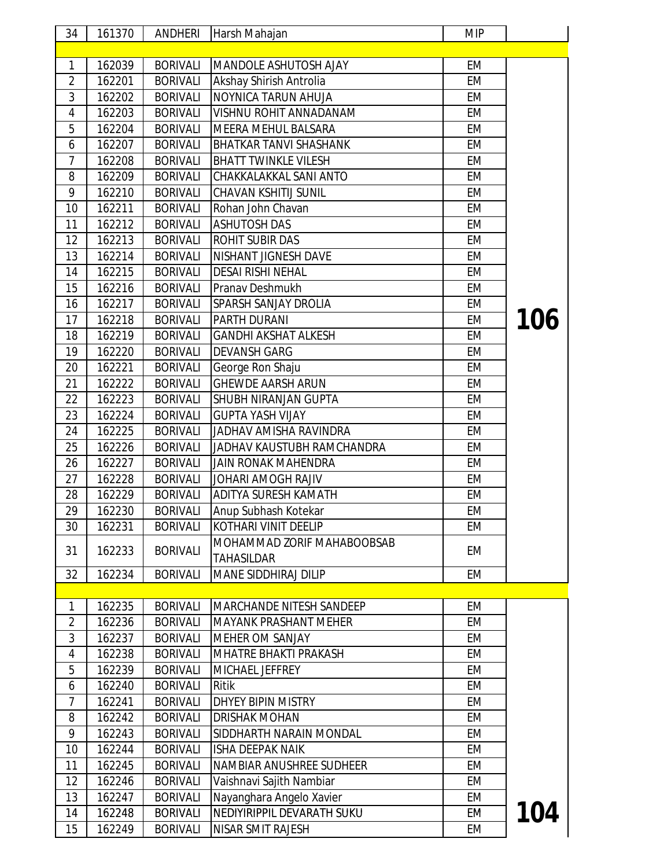| 34             | 161370 | <b>ANDHERI</b>  | Harsh Mahajan                                   | <b>MIP</b> |            |
|----------------|--------|-----------------|-------------------------------------------------|------------|------------|
|                |        |                 |                                                 |            |            |
| 1              | 162039 | <b>BORIVALI</b> | MANDOLE ASHUTOSH AJAY                           | EM         |            |
| $\overline{2}$ | 162201 | <b>BORIVALI</b> | Akshay Shirish Antrolia                         | <b>EM</b>  |            |
| 3              | 162202 | <b>BORIVALI</b> | NOYNICA TARUN AHUJA                             | EM         |            |
| 4              | 162203 | <b>BORIVALI</b> | VISHNU ROHIT ANNADANAM                          | EM         |            |
| 5              | 162204 | <b>BORIVALI</b> | MEERA MEHUL BALSARA                             | EM         |            |
| 6              | 162207 | <b>BORIVALI</b> | <b>BHATKAR TANVI SHASHANK</b>                   | EM         |            |
| 7              | 162208 | <b>BORIVALI</b> | <b>BHATT TWINKLE VILESH</b>                     | EM         |            |
| 8              | 162209 | <b>BORIVALI</b> | CHAKKALAKKAL SANI ANTO                          | EM         |            |
| 9              | 162210 | <b>BORIVALI</b> | <b>CHAVAN KSHITIJ SUNIL</b>                     | EM         |            |
| 10             | 162211 | <b>BORIVALI</b> | Rohan John Chavan                               | EM         |            |
| 11             | 162212 | <b>BORIVALI</b> | <b>ASHUTOSH DAS</b>                             | EM         |            |
| 12             | 162213 | <b>BORIVALI</b> | <b>ROHIT SUBIR DAS</b>                          | EM         |            |
| 13             | 162214 | <b>BORIVALI</b> | NISHANT JIGNESH DAVE                            | EM         |            |
| 14             | 162215 | <b>BORIVALI</b> | <b>DESAI RISHI NEHAL</b>                        | EM         |            |
| 15             | 162216 | <b>BORIVALI</b> | Pranav Deshmukh                                 | <b>EM</b>  |            |
| 16             | 162217 | <b>BORIVALI</b> | SPARSH SANJAY DROLIA                            | EM         |            |
| 17             | 162218 | <b>BORIVALI</b> | <b>PARTH DURANI</b>                             | EM         | 106        |
| 18             | 162219 | <b>BORIVALI</b> | <b>GANDHI AKSHAT ALKESH</b>                     | EM         |            |
| 19             | 162220 | <b>BORIVALI</b> | <b>DEVANSH GARG</b>                             | EM         |            |
| 20             | 162221 | <b>BORIVALI</b> | George Ron Shaju                                | EM         |            |
| 21             | 162222 | <b>BORIVALI</b> | <b>GHEWDE AARSH ARUN</b>                        | EM         |            |
| 22             | 162223 | <b>BORIVALI</b> | SHUBH NIRANJAN GUPTA                            | EM         |            |
| 23             | 162224 | <b>BORIVALI</b> | <b>GUPTA YASH VIJAY</b>                         | EM         |            |
| 24             | 162225 | <b>BORIVALI</b> | JADHAV AMISHA RAVINDRA                          | EM         |            |
| 25             | 162226 | <b>BORIVALI</b> | JADHAV KAUSTUBH RAMCHANDRA                      | EM         |            |
| 26             | 162227 | <b>BORIVALI</b> | <b>JAIN RONAK MAHENDRA</b>                      | EM         |            |
| 27             | 162228 | <b>BORIVALI</b> | JOHARI AMOGH RAJIV                              | EM         |            |
| 28             | 162229 | <b>BORIVALI</b> | ADITYA SURESH KAMATH                            | EM         |            |
| 29             | 162230 | <b>BORIVALI</b> | Anup Subhash Kotekar                            | EМ         |            |
| 30             | 162231 | <b>BORIVALI</b> | KOTHARI VINIT DEELIP                            | EM         |            |
| 31             | 162233 | <b>BORIVALI</b> | MOHAMMAD ZORIF MAHABOOBSAB<br><b>TAHASILDAR</b> | EM         |            |
| 32             | 162234 | <b>BORIVALI</b> | <b>MANE SIDDHIRAJ DILIP</b>                     | EM         |            |
|                |        |                 |                                                 |            |            |
| 1              | 162235 | <b>BORIVALI</b> | <b>MARCHANDE NITESH SANDEEP</b>                 | EM         |            |
| $\overline{2}$ | 162236 | <b>BORIVALI</b> | <b>MAYANK PRASHANT MEHER</b>                    | EM         |            |
| $\sqrt{3}$     | 162237 | <b>BORIVALI</b> | <b>MEHER OM SANJAY</b>                          | EM         |            |
| 4              | 162238 | <b>BORIVALI</b> | <b>MHATRE BHAKTI PRAKASH</b>                    | EM         |            |
| 5              | 162239 | <b>BORIVALI</b> | MICHAEL JEFFREY                                 | EM         |            |
| 6              | 162240 | <b>BORIVALI</b> | Ritik                                           | EM         |            |
| 7              | 162241 | <b>BORIVALI</b> | DHYEY BIPIN MISTRY                              | EM         |            |
| 8              | 162242 | <b>BORIVALI</b> | <b>DRISHAK MOHAN</b>                            | EM         |            |
| 9              | 162243 | <b>BORIVALI</b> | SIDDHARTH NARAIN MONDAL                         | EM         |            |
| 10             | 162244 | <b>BORIVALI</b> | <b>ISHA DEEPAK NAIK</b>                         | EM         |            |
| 11             | 162245 | <b>BORIVALI</b> | NAMBIAR ANUSHREE SUDHEER                        | EM         |            |
| 12             | 162246 | <b>BORIVALI</b> | Vaishnavi Sajith Nambiar                        | EM         |            |
| 13             | 162247 | <b>BORIVALI</b> | Nayanghara Angelo Xavier                        | EM         |            |
| 14             | 162248 | <b>BORIVALI</b> | NEDIYIRIPPIL DEVARATH SUKU                      | EM         | <b>104</b> |
| 15             | 162249 | <b>BORIVALI</b> | NISAR SMIT RAJESH                               | EM         |            |